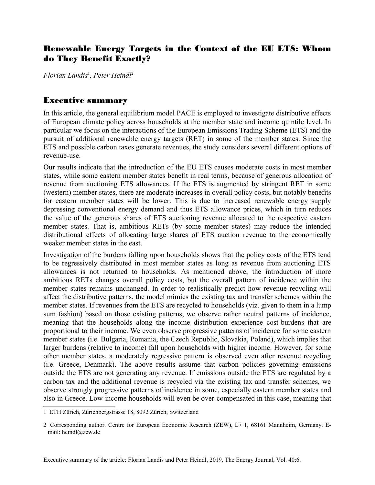## Renewable Energy Targets in the Context of the EU ETS: Whom do They Benefit Exactly?

*Florian Landis*[1](#page-0-0) *, Peter Heindl*[2](#page-0-1)

## Executive summary

In this article, the general equilibrium model PACE is employed to investigate distributive effects of European climate policy across households at the member state and income quintile level. In particular we focus on the interactions of the European Emissions Trading Scheme (ETS) and the pursuit of additional renewable energy targets (RET) in some of the member states. Since the ETS and possible carbon taxes generate revenues, the study considers several different options of revenue-use.

Our results indicate that the introduction of the EU ETS causes moderate costs in most member states, while some eastern member states benefit in real terms, because of generous allocation of revenue from auctioning ETS allowances. If the ETS is augmented by stringent RET in some (western) member states, there are moderate increases in overall policy costs, but notably benefits for eastern member states will be lower. This is due to increased renewable energy supply depressing conventional energy demand and thus ETS allowance prices, which in turn reduces the value of the generous shares of ETS auctioning revenue allocated to the respective eastern member states. That is, ambitious RETs (by some member states) may reduce the intended distributional effects of allocating large shares of ETS auction revenue to the economically weaker member states in the east.

Investigation of the burdens falling upon households shows that the policy costs of the ETS tend to be regressively distributed in most member states as long as revenue from auctioning ETS allowances is not returned to households. As mentioned above, the introduction of more ambitious RETs changes overall policy costs, but the overall pattern of incidence within the member states remains unchanged. In order to realistically predict how revenue recycling will affect the distributive patterns, the model mimics the existing tax and transfer schemes within the member states. If revenues from the ETS are recycled to households (viz. given to them in a lump sum fashion) based on those existing patterns, we observe rather neutral patterns of incidence, meaning that the households along the income distribution experience cost-burdens that are proportional to their income. We even observe progressive patterns of incidence for some eastern member states (i.e. Bulgaria, Romania, the Czech Republic, Slovakia, Poland), which implies that larger burdens (relative to income) fall upon households with higher income. However, for some other member states, a moderately regressive pattern is observed even after revenue recycling (i.e. Greece, Denmark). The above results assume that carbon policies governing emissions outside the ETS are not generating any revenue. If emissions outside the ETS are regulated by a carbon tax and the additional revenue is recycled via the existing tax and transfer schemes, we observe strongly progressive patterns of incidence in some, especially eastern member states and also in Greece. Low-income households will even be over-compensated in this case, meaning that

<span id="page-0-0"></span><sup>1</sup> ETH Zürich, Zürichbergstrasse 18, 8092 Zürich, Switzerland

<span id="page-0-1"></span><sup>2</sup> Corresponding author. Centre for European Economic Research (ZEW), L7 1, 68161 Mannheim, Germany. Email: heindl@zew.de